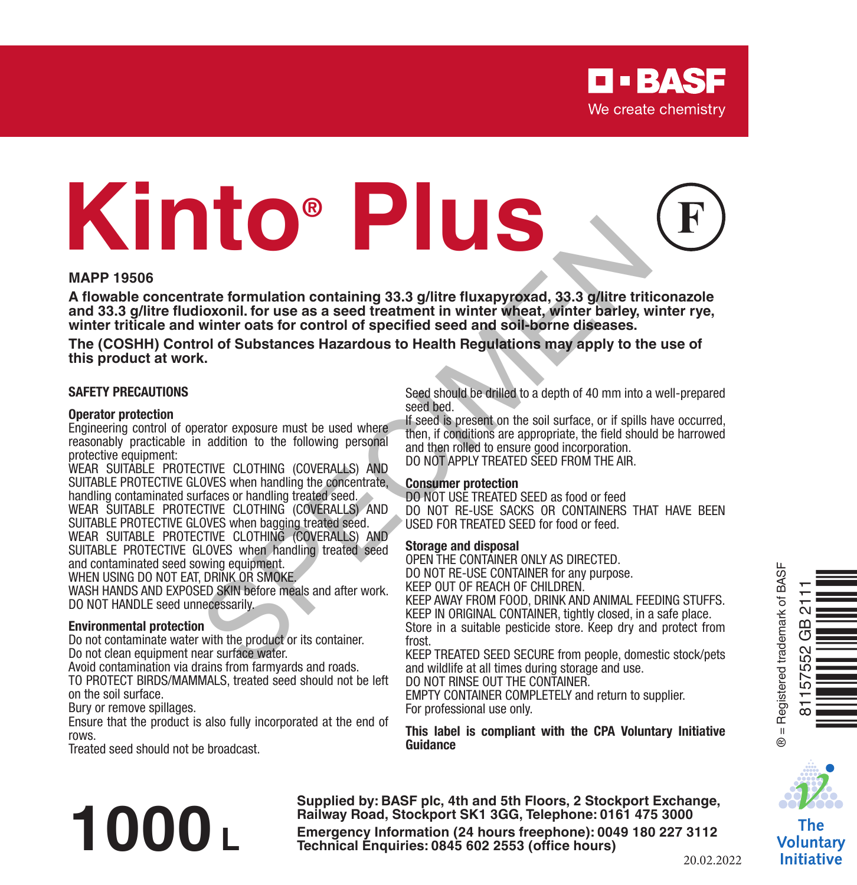# **Kinto® Plus** The formulation containing 33.3 g/litre fluxapyroxad, 33.3 g/litre tritics<br>winter casts for control of specified seed and soll-borne diseases.<br>Winter casts for control of specified seed and soll-borne diseases.<br>For the dis

#### **MAPP 19506**

**A flowable concentrate formulation containing 33.3 g/litre fluxapyroxad, 33.3 g/litre triticonazole and 33.3 g/litre fludioxonil. for use as a seed treatment in winter wheat, winter barley, winter rye, winter triticale and winter oats for control of specified seed and soil-borne diseases.**

**The (COSHH) Control of Substances Hazardous to Health Regulations may apply to the use of this product at work.**

#### **SAFETY PRECAUTIONS**

#### **Operator protection**

Engineering control of operator exposure must be used where reasonably practicable in addition to the following personal protective equipment:

WEAR SUITABLE PROTECTIVE CLOTHING (COVERALLS) AND SUITABLE PROTECTIVE GLOVES when handling the concentrate, handling contaminated surfaces or handling treated seed. WEAR SUITABLE PROTECTIVE CLOTHING (COVERALLS) AND SUITABLE PROTECTIVE GLOVES when bagging treated seed. WEAR SUITABLE PROTECTIVE CLOTHING (COVERALLS) AND

SUITABLE PROTECTIVE GLOVES when handling treated seed and contaminated seed sowing equipment.

WHEN USING DO NOT FAT, DRINK OR SMOKE

WASH HANDS AND EXPOSED SKIN before meals and after work. DO NOT HANDLE seed unnecessarily.

#### **Environmental protection**

Do not contaminate water with the product or its container. Do not clean equipment near surface water.

Avoid contamination via drains from farmyards and roads.

TO PROTECT BIRDS/MAMMALS, treated seed should not be left on the soil surface.

Bury or remove spillages.

Ensure that the product is also fully incorporated at the end of rows.

Treated seed should not be broadcast.

#### Seed should be drilled to a depth of 40 mm into a well-prepared seed bed.

If seed is present on the soil surface, or if spills have occurred, then, if conditions are appropriate, the field should be harrowed and then rolled to ensure good incorporation DO NOT APPLY TREATED SEED FROM THE AIR.

#### **Consumer protection**

DO NOT USE TREATED SEED as food or feed DO NOT RE-USE SACKS OR CONTAINERS THAT HAVE BEEN USED FOR TREATED SEED for food or feed.

#### **Storage and disposal**

OPEN THE CONTAINER ONLY AS DIRECTED. DO NOT RE-USE CONTAINER for any purpose. KEEP OUT OF REACH OF CHILDREN. KEEP AWAY FROM FOOD, DRINK AND ANIMAL FEEDING STUFFS. KEEP IN ORIGINAL CONTAINER, tightly closed, in a safe place. Store in a suitable pesticide store. Keep dry and protect from

frost.

KEEP TREATED SEED SECURE from people, domestic stock/pets and wildlife at all times during storage and use.

DO NOT RINSE OUT THE CONTAINER.

EMPTY CONTAINER COMPLETELY and return to supplier. For professional use only.

**This label is compliant with the CPA Voluntary Initiative Guidance**





The Voluntary **Initiative** 

**Supplied by: BASF plc, 4th and 5th Floors, 2 Stockport Exchange, Railway Road, Stockport SK1 3GG, Telephone: 0161 475 3000 Emergency Information (24 hours freephone**): 0049 180 227 3112<br> **Emergency Information (24 hours freephone**): 0049 180 227 3112<br> **Technical Enquiries: 0845** 602 2553 (office hours)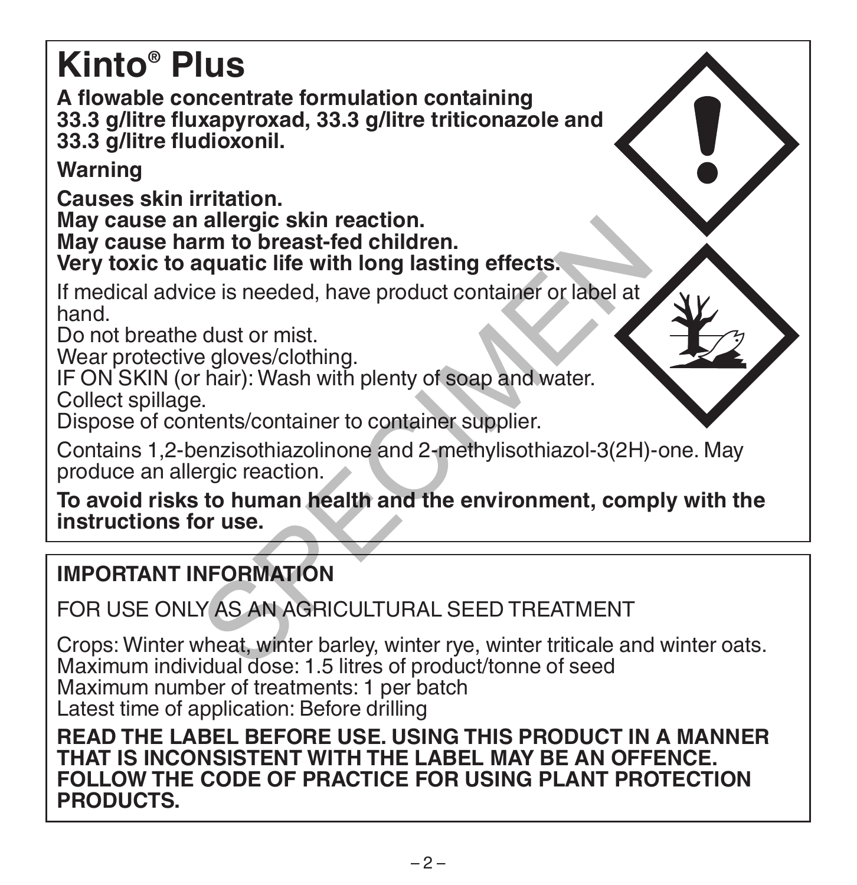### **Kinto® Plus**

**A flowable concentrate formulation containing 33.3 g/litre fluxapyroxad, 33.3 g/litre triticonazole and 33.3 g/litre fludioxonil.**

**Warning**

**Causes skin irritation. May cause an allergic skin reaction. May cause harm to breast-fed children. Very toxic to aquatic life with long lasting effects.**

If medical advice is needed, have product container or label at hand.

Do not breathe dust or mist.

Wear protective gloves/clothing.

IF ON SKIN (or hair): Wash with plenty of soap and water.

Collect spillage.

Dispose of contents/container to container supplier.

Contains 1,2-benzisothiazolinone and 2-methylisothiazol-3(2H)-one. May produce an allergic reaction.

**To avoid risks to human health and the environment, comply with the instructions for use.** allergic skin reaction.<br>
Im to breast-fed children.<br>
aquatic life with long lasting effects.<br>
Ce is needed, have product container or label at<br>
dust or mist.<br>
e gloves/clothing.<br>
Phair): Wash with plenty of soap and water.

#### **IMPORTANT INFORMATION**

FOR USE ONLY AS AN AGRICULTURAL SEED TREATMENT

Crops: Winter wheat, winter barley, winter rye, winter triticale and winter oats. Maximum individual dose: 1.5 litres of product/tonne of seed Maximum number of treatments: 1 per batch Latest time of application: Before drilling

**READ THE LABEL BEFORE USE. USING THIS PRODUCT IN A MANNER THAT IS INCONSISTENT WITH THE LABEL MAY BE AN OFFENCE. FOLLOW THE CODE OF PRACTICE FOR USING PLANT PROTECTION PRODUCTS.**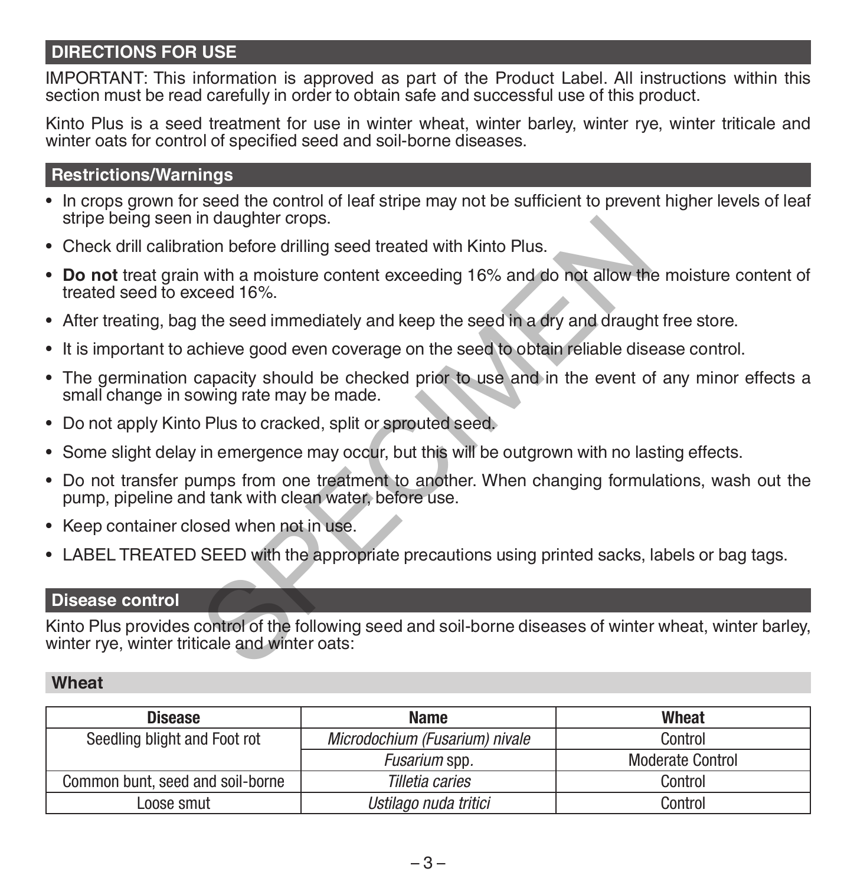#### **DIRECTIONS FOR USE**

IMPORTANT: This information is approved as part of the Product Label. All instructions within this section must be read carefully in order to obtain safe and successful use of this product.

Kinto Plus is a seed treatment for use in winter wheat, winter barley, winter rye, winter triticale and winter oats for control of specified seed and soil-borne diseases.

#### **Restrictions/Warnings**

- In crops grown for seed the control of leaf stripe may not be sufficient to prevent higher levels of leaf stripe being seen in daughter crops.
- Check drill calibration before drilling seed treated with Kinto Plus.
- **• Do not** treat grain with a moisture content exceeding 16% and do not allow the moisture content of treated seed to exceed 16%.
- After treating, bag the seed immediately and keep the seed in a dry and draught free store.
- It is important to achieve good even coverage on the seed to obtain reliable disease control.
- The germination capacity should be checked prior to use and in the event of any minor effects a small change in sowing rate may be made. In aaughter crops.<br>
ition before drilling seed treated with Kinto Plus.<br>
with a moisture content exceeding 16% and do not allow th<br>
the seed immediately and keep the seed in a dry and draugh<br>
chieve good even coverage on t
- Do not apply Kinto Plus to cracked, split or sprouted seed.
- Some slight delay in emergence may occur, but this will be outgrown with no lasting effects.
- Do not transfer pumps from one treatment to another. When changing formulations, wash out the pump, pipeline and tank with clean water, before use.
- Keep container closed when not in use.
- LABEL TREATED SEED with the appropriate precautions using printed sacks, labels or bag tags.

#### **Disease control**

Kinto Plus provides control of the following seed and soil-borne diseases of winter wheat, winter barley, winter rye, winter triticale and winter oats:

#### **Wheat**

| <b>Disease</b>                   | <b>Name</b>                    | Wheat                   |  |
|----------------------------------|--------------------------------|-------------------------|--|
| Seedling blight and Foot rot     | Microdochium (Fusarium) nivale | Control                 |  |
|                                  | <i>Fusarium</i> spp.           | <b>Moderate Control</b> |  |
| Common bunt, seed and soil-borne | Tilletia caries                | Control                 |  |
| Loose smut                       | Ustilago nuda tritici          | Control                 |  |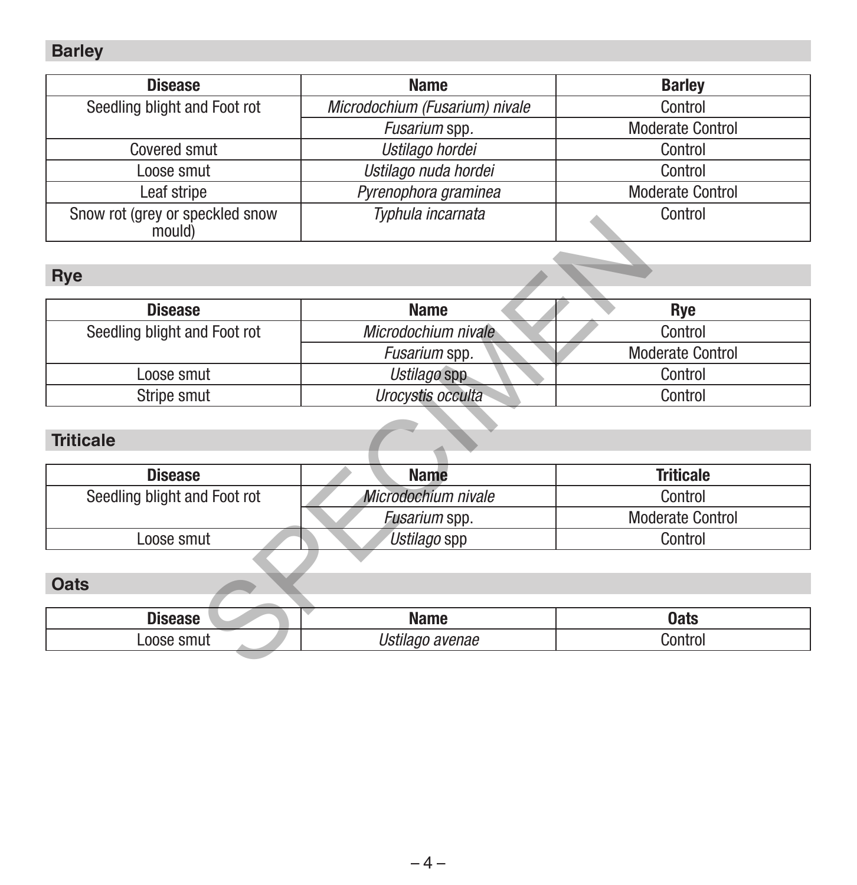#### **Barley**

| <b>Disease</b>                            | <b>Name</b>                    | <b>Barley</b>           |  |
|-------------------------------------------|--------------------------------|-------------------------|--|
| Seedling blight and Foot rot              | Microdochium (Fusarium) nivale | Control                 |  |
|                                           | Fusarium spp.                  | <b>Moderate Control</b> |  |
| Covered smut                              | Ustilago hordei                | Control                 |  |
| Loose smut                                | Ustilago nuda hordei           | Control                 |  |
| Leaf stripe                               | Pyrenophora graminea           | <b>Moderate Control</b> |  |
| Snow rot (grey or speckled snow<br>mould) | Typhula incarnata              | Control                 |  |

#### **Rye**

| <b>DIDWIDL(GID)</b> OF OPGONG OND W<br>mould) | <i>i</i> yphaia moaniata     | <b>UUILUU</b>           |  |  |
|-----------------------------------------------|------------------------------|-------------------------|--|--|
|                                               |                              |                         |  |  |
| Rye                                           |                              |                         |  |  |
| <b>Disease</b>                                | <b>Name</b>                  | Rye                     |  |  |
| Seedling blight and Foot rot                  | Microdochium nivale          | Control                 |  |  |
|                                               | Fusarium spp.                | Moderate Control        |  |  |
| Loose smut                                    | Ustilago spp                 | Control                 |  |  |
| Stripe smut                                   | Urocystis occulta<br>Control |                         |  |  |
|                                               |                              |                         |  |  |
| <b>Triticale</b>                              |                              |                         |  |  |
|                                               |                              |                         |  |  |
| <b>Disease</b>                                | <b>Name</b>                  | <b>Triticale</b>        |  |  |
| Seedling blight and Foot rot                  | Microdochium nivale          | Control                 |  |  |
|                                               | Fusarium spp.                | <b>Moderate Control</b> |  |  |
| Loose smut                                    | Ustilago spp<br>Control      |                         |  |  |
|                                               |                              |                         |  |  |
| <b>Oats</b>                                   |                              |                         |  |  |
|                                               |                              |                         |  |  |
| <b>Disease</b>                                | <b>Name</b>                  | <b>Oats</b>             |  |  |
| Loose smut                                    | Ustilago avenae<br>Control   |                         |  |  |
|                                               |                              |                         |  |  |

#### **Triticale**

| <b>Disease</b>               | <b>Name</b>          | <b>Triticale</b> |  |
|------------------------------|----------------------|------------------|--|
| Seedling blight and Foot rot | Microdochium nivale  | Control          |  |
|                              | <i>Fusarium</i> spp. | Moderate Control |  |
| Loose smut                   | Ustilago spp         | Control          |  |

#### **Oats**

| hi |                                 | 0ats |
|----|---------------------------------|------|
|    | enae<br>$- - - - -$<br>$\cdots$ | '∩n' |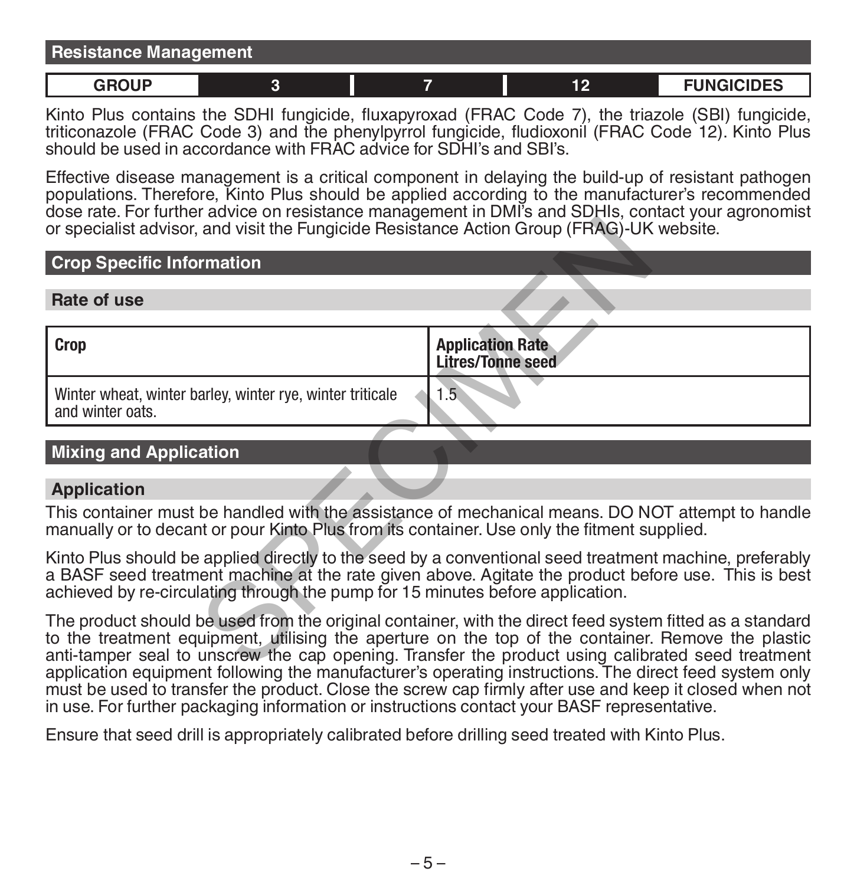| <b>Resistance Management</b> |  |  |  |  |    |                   |
|------------------------------|--|--|--|--|----|-------------------|
| GROUP                        |  |  |  |  | 46 | <b>FUNGICIDES</b> |

Kinto Plus contains the SDHI fungicide, fluxapyroxad (FRAC Code 7), the triazole (SBI) fungicide, triticonazole (FRAC Code 3) and the phenylpyrrol fungicide, fludioxonil (FRAC Code 12). Kinto Plus should be used in accordance with FRAC advice for SDHI's and SBI's.

Effective disease management is a critical component in delaying the build-up of resistant pathogen populations. Therefore, Kinto Plus should be applied according to the manufacturer's recommended dose rate. For further advice on resistance management in DMI's and SDHIs, contact your agronomist or specialist advisor, and visit the Fungicide Resistance Action Group (FRAG)-UK website.

#### **Crop Specific Information**

#### **Rate of use**

| or specialist advisor, and visit the Fungicide Resistance Action Group (FRAG)-UK website.                                                                                                                                                                                                                                                                                                                                    |                                                     |
|------------------------------------------------------------------------------------------------------------------------------------------------------------------------------------------------------------------------------------------------------------------------------------------------------------------------------------------------------------------------------------------------------------------------------|-----------------------------------------------------|
| <b>Crop Specific Information</b>                                                                                                                                                                                                                                                                                                                                                                                             |                                                     |
| Rate of use                                                                                                                                                                                                                                                                                                                                                                                                                  |                                                     |
| Crop                                                                                                                                                                                                                                                                                                                                                                                                                         | <b>Application Rate</b><br><b>Litres/Tonne seed</b> |
| Winter wheat, winter barley, winter rye, winter triticale<br>and winter oats.                                                                                                                                                                                                                                                                                                                                                | $1.5^{\circ}$                                       |
| <b>Mixing and Application</b>                                                                                                                                                                                                                                                                                                                                                                                                |                                                     |
| <b>Application</b>                                                                                                                                                                                                                                                                                                                                                                                                           |                                                     |
| This container must be handled with the assistance of mechanical means. DO NOT attempt to handle<br>manually or to decant or pour Kinto Plus from its container. Use only the fitment supplied.                                                                                                                                                                                                                              |                                                     |
| Kinto Plus should be applied directly to the seed by a conventional seed treatment machine, preferably<br>a BASF seed treatment machine at the rate given above. Agitate the product before use. This is best<br>achieved by re-circulating through the pump for 15 minutes before application.                                                                                                                              |                                                     |
| The product should be used from the original container, with the direct feed system fitted as a standard<br>to the treatment equipment, utilising the aperture on the top of the container. Remove the plastic<br>anti-tamper seal to unscrew the cap opening. Transfer the product using calibrated seed treatment<br>seeklaatan asutemant fallawing taa manufaati wada asanating teatru wilaya. Tha diwaat faad ayatam asu |                                                     |

#### **Mixing and Application**

#### **Application**

The product should be used from the original container, with the direct feed system fitted as a standard to the treatment equipment, utilising the aperture on the top of the container. Remove the plastic anti-tamper seal to unscrew the cap opening. Transfer the product using calibrated seed treatment application equipment following the manufacturer's operating instructions. The direct feed system only must be used to transfer the product. Close the screw cap firmly after use and keep it closed when not in use. For further packaging information or instructions contact your BASF representative.

Ensure that seed drill is appropriately calibrated before drilling seed treated with Kinto Plus.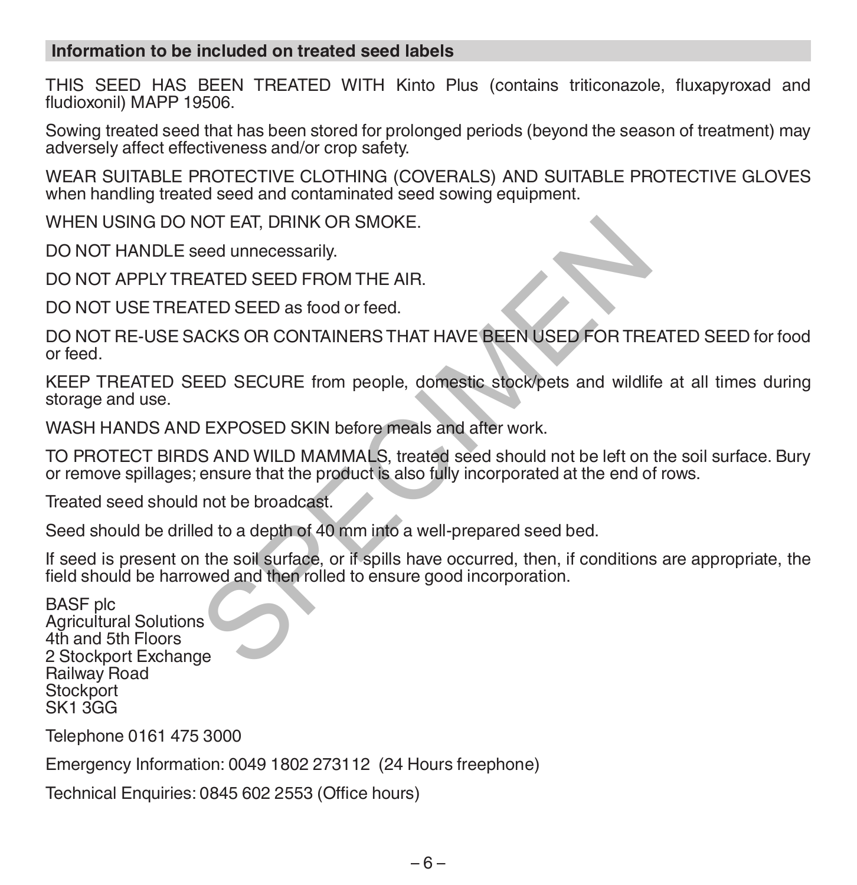#### **Information to be included on treated seed labels**

THIS SEED HAS BEEN TREATED WITH Kinto Plus (contains triticonazole, fluxapyroxad and fludioxonil) MAPP 19506.

Sowing treated seed that has been stored for prolonged periods (beyond the season of treatment) may adversely affect effectiveness and/or crop safety.

WEAR SUITABLE PROTECTIVE CLOTHING (COVERALS) AND SUITABLE PROTECTIVE GLOVES when handling treated seed and contaminated seed sowing equipment.

WHEN USING DO NOT EAT, DRINK OR SMOKE.

DO NOT HANDLE seed unnecessarily.

DO NOT APPLY TREATED SEED FROM THE AIR.

DO NOT USE TREATED SEED as food or feed.

DO NOT RE-USE SACKS OR CONTAINERS THAT HAVE BEEN USED FOR TREATED SEED for food or feed. VOT EAT, DRINK OR SMOKE.<br>
ERTED SEED FROM THE AIR.<br>
TED SEED as food or feed.<br>
ACKS OR CONTAINERS THAT HAVE BEEN USED FOR TRE<br>
EED SECURE from people, domestic stock/pets and wildlift<br>
DEXPOSED SKIN before meals and after

KEEP TREATED SEED SECURE from people, domestic stock/pets and wildlife at all times during storage and use.

WASH HANDS AND EXPOSED SKIN before meals and after work.

TO PROTECT BIRDS AND WILD MAMMALS, treated seed should not be left on the soil surface. Bury or remove spillages; ensure that the product is also fully incorporated at the end of rows.

Treated seed should not be broadcast.

Seed should be drilled to a depth of 40 mm into a well-prepared seed bed.

If seed is present on the soil surface, or if spills have occurred, then, if conditions are appropriate, the field should be harrowed and then rolled to ensure good incorporation.

BASF plc Agricultural Solutions 4th and 5th Floors 2 Stockport Exchange Railway Road **Stockport** SK1 3GG

Telephone 0161 475 3000

Emergency Information: 0049 1802 273112 (24 Hours freephone)

Technical Enquiries: 0845 602 2553 (Office hours)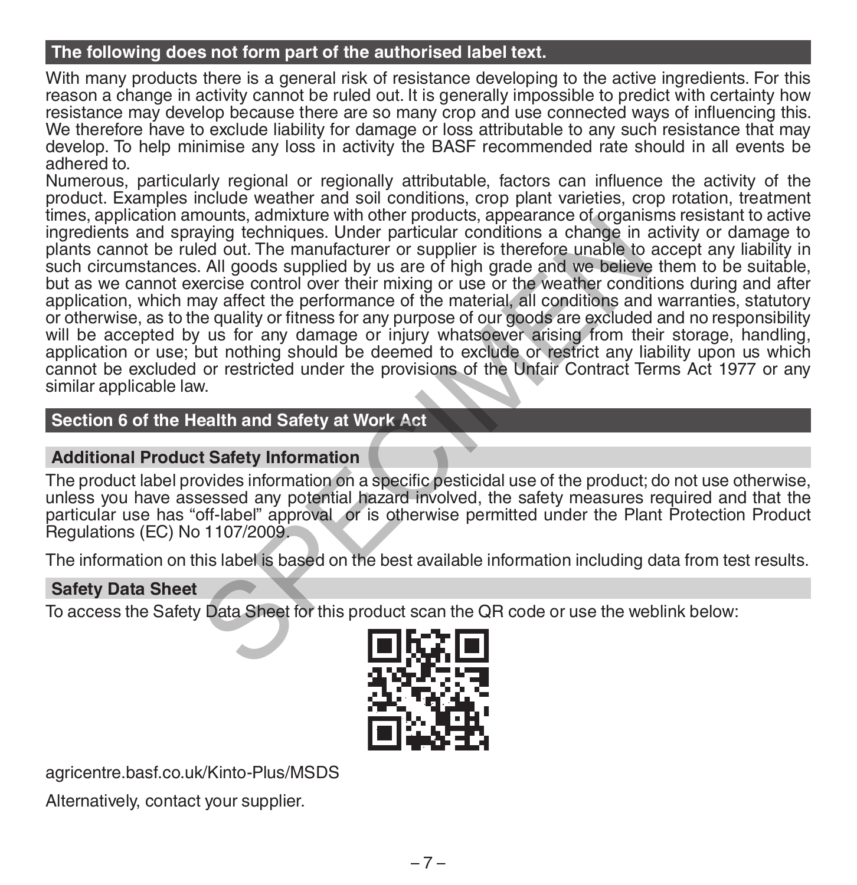#### **The following does not form part of the authorised label text.**

With many products there is a general risk of resistance developing to the active ingredients. For this reason a change in activity cannot be ruled out. It is generally impossible to predict with certainty how resistance may develop because there are so many crop and use connected ways of influencing this. We therefore have to exclude liability for damage or loss attributable to any such resistance that may develop. To help minimise any loss in activity the BASF recommended rate should in all events be adhered to.

Numerous, particularly regional or regionally attributable, factors can influence the activity of the product. Examples include weather and soil conditions, crop plant varieties, crop rotation, treatment times, application amounts, admixture with other products, appearance of organisms resistant to active ingredients and spraying techniques. Under particular conditions a change in activity or damage to plants cannot be ruled out. The manufacturer or supplier is therefore unable to accept any liability in such circumstances. All goods supplied by us are of high grade and we believe them to be suitable, but as we cannot exercise control over their mixing or use or the weather conditions during and after application, which may affect the performance of the material, all conditions and warranties, statutory or otherwise, as to the quality or fitness for any purpose of our goods are excluded and no responsibility will be accepted by us for any damage or injury whatsoever arising from their storage, handling, application or use; but nothing should be deemed to exclude or restrict any liability upon us which cannot be excluded or restricted under the provisions of the Unfair Contract Terms Act 1977 or any similar applicable law. nouting, authorite with other protoucle, appearance or originalized to the particular conditions a change in ed out. The manufacturer or supplier is therefore unable to All goods supplied by us are of high grade and we bel

#### **Section 6 of the Health and Safety at Work Act**

#### **Additional Product Safety Information**

The product label provides information on a specific pesticidal use of the product; do not use otherwise, unless you have assessed any potential hazard involved, the safety measures required and that the particular use has "off-label" approval or is otherwise permitted under the Plant Protection Product Regulations (EC) No 1107/2009.

The information on this label is based on the best available information including data from test results.

#### **Safety Data Sheet**

To access the Safety Data Sheet for this product scan the QR code or use the weblink below:



agricentre.basf.co.uk/Kinto-Plus/MSDS

Alternatively, contact your supplier.